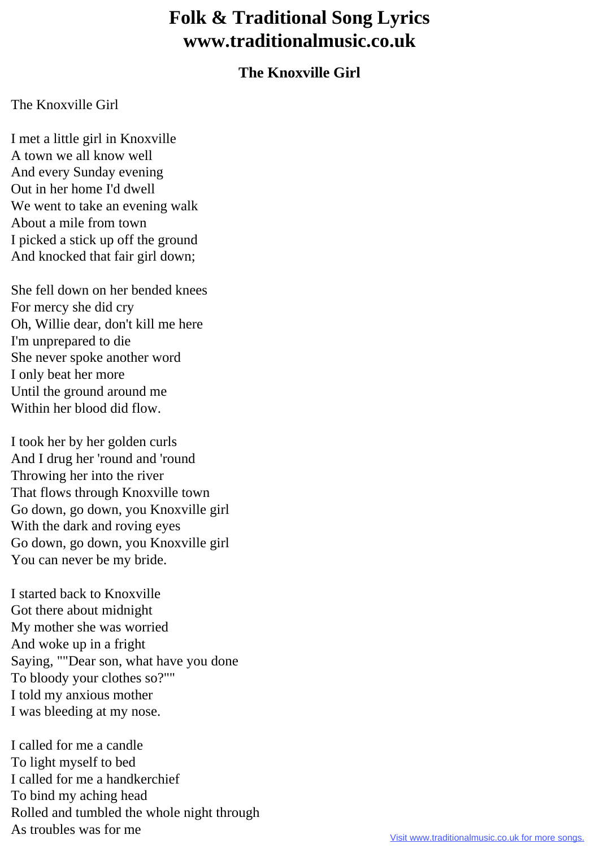## **Folk & Traditional Song Lyrics www.traditionalmusic.co.uk**

## **The Knoxville Girl**

## The Knoxville Girl

I met a little girl in Knoxville A town we all know well And every Sunday evening Out in her home I'd dwell We went to take an evening walk About a mile from town I picked a stick up off the ground And knocked that fair girl down;

She fell down on her bended knees For mercy she did cry Oh, Willie dear, don't kill me here I'm unprepared to die She never spoke another word I only beat her more Until the ground around me Within her blood did flow.

I took her by her golden curls And I drug her 'round and 'round Throwing her into the river That flows through Knoxville town Go down, go down, you Knoxville girl With the dark and roving eyes Go down, go down, you Knoxville girl You can never be my bride.

I started back to Knoxville Got there about midnight My mother she was worried And woke up in a fright Saying, ""Dear son, what have you done To bloody your clothes so?"" I told my anxious mother I was bleeding at my nose.

I called for me a candle To light myself to bed I called for me a handkerchief To bind my aching head Rolled and tumbled the whole night through As troubles was for me